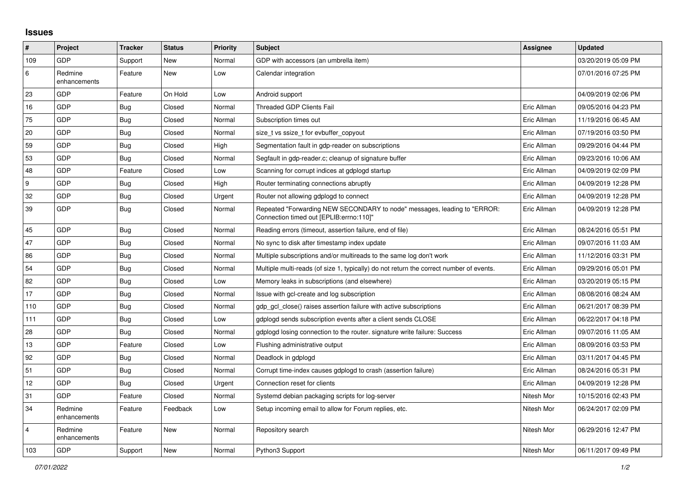## **Issues**

| $\vert$ #        | Project                 | <b>Tracker</b> | <b>Status</b> | <b>Priority</b> | <b>Subject</b>                                                                                                      | <b>Assignee</b> | <b>Updated</b>      |
|------------------|-------------------------|----------------|---------------|-----------------|---------------------------------------------------------------------------------------------------------------------|-----------------|---------------------|
| 109              | GDP                     | Support        | New           | Normal          | GDP with accessors (an umbrella item)                                                                               |                 | 03/20/2019 05:09 PM |
| 6                | Redmine<br>enhancements | Feature        | <b>New</b>    | Low             | Calendar integration                                                                                                |                 | 07/01/2016 07:25 PM |
| 23               | GDP                     | Feature        | On Hold       | Low             | Android support                                                                                                     |                 | 04/09/2019 02:06 PM |
| 16               | GDP                     | Bug            | Closed        | Normal          | <b>Threaded GDP Clients Fail</b>                                                                                    | Eric Allman     | 09/05/2016 04:23 PM |
| 75               | GDP                     | Bug            | Closed        | Normal          | Subscription times out                                                                                              | Eric Allman     | 11/19/2016 06:45 AM |
| 20               | GDP                     | Bug            | Closed        | Normal          | size t vs ssize t for evbuffer copyout                                                                              | Eric Allman     | 07/19/2016 03:50 PM |
| 59               | GDP                     | <b>Bug</b>     | Closed        | High            | Segmentation fault in gdp-reader on subscriptions                                                                   | Eric Allman     | 09/29/2016 04:44 PM |
| 53               | GDP                     | Bug            | Closed        | Normal          | Segfault in gdp-reader.c; cleanup of signature buffer                                                               | Eric Allman     | 09/23/2016 10:06 AM |
| 48               | <b>GDP</b>              | Feature        | Closed        | Low             | Scanning for corrupt indices at gdplogd startup                                                                     | Eric Allman     | 04/09/2019 02:09 PM |
| $\boldsymbol{9}$ | GDP                     | <b>Bug</b>     | Closed        | High            | Router terminating connections abruptly                                                                             | Eric Allman     | 04/09/2019 12:28 PM |
| 32               | GDP                     | Bug            | Closed        | Urgent          | Router not allowing gdplogd to connect                                                                              | Eric Allman     | 04/09/2019 12:28 PM |
| 39               | <b>GDP</b>              | <b>Bug</b>     | Closed        | Normal          | Repeated "Forwarding NEW SECONDARY to node" messages, leading to "ERROR:<br>Connection timed out [EPLIB:errno:110]" | Eric Allman     | 04/09/2019 12:28 PM |
| 45               | GDP                     | Bug            | Closed        | Normal          | Reading errors (timeout, assertion failure, end of file)                                                            | Eric Allman     | 08/24/2016 05:51 PM |
| 47               | GDP                     | <b>Bug</b>     | Closed        | Normal          | No sync to disk after timestamp index update                                                                        | Eric Allman     | 09/07/2016 11:03 AM |
| 86               | GDP                     | <b>Bug</b>     | Closed        | Normal          | Multiple subscriptions and/or multireads to the same log don't work                                                 | Eric Allman     | 11/12/2016 03:31 PM |
| 54               | GDP                     | <b>Bug</b>     | Closed        | Normal          | Multiple multi-reads (of size 1, typically) do not return the correct number of events.                             | Eric Allman     | 09/29/2016 05:01 PM |
| 82               | <b>GDP</b>              | Bug            | Closed        | Low             | Memory leaks in subscriptions (and elsewhere)                                                                       | Eric Allman     | 03/20/2019 05:15 PM |
| 17               | GDP                     | Bug            | Closed        | Normal          | Issue with gcl-create and log subscription                                                                          | Eric Allman     | 08/08/2016 08:24 AM |
| 110              | GDP                     | Bug            | Closed        | Normal          | gdp gcl close() raises assertion failure with active subscriptions                                                  | Eric Allman     | 06/21/2017 08:39 PM |
| 111              | <b>GDP</b>              | Bug            | Closed        | Low             | gdplogd sends subscription events after a client sends CLOSE                                                        | Eric Allman     | 06/22/2017 04:18 PM |
| 28               | GDP                     | Bug            | Closed        | Normal          | gdplogd losing connection to the router, signature write failure: Success                                           | Eric Allman     | 09/07/2016 11:05 AM |
| 13               | GDP                     | Feature        | Closed        | Low             | Flushing administrative output                                                                                      | Eric Allman     | 08/09/2016 03:53 PM |
| 92               | GDP                     | Bug            | Closed        | Normal          | Deadlock in gdplogd                                                                                                 | Eric Allman     | 03/11/2017 04:45 PM |
| 51               | <b>GDP</b>              | Bug            | Closed        | Normal          | Corrupt time-index causes gdplogd to crash (assertion failure)                                                      | Eric Allman     | 08/24/2016 05:31 PM |
| 12               | GDP                     | <b>Bug</b>     | Closed        | Urgent          | Connection reset for clients                                                                                        | Eric Allman     | 04/09/2019 12:28 PM |
| 31               | GDP                     | Feature        | Closed        | Normal          | Systemd debian packaging scripts for log-server                                                                     | Nitesh Mor      | 10/15/2016 02:43 PM |
| 34               | Redmine<br>enhancements | Feature        | Feedback      | Low             | Setup incoming email to allow for Forum replies, etc.                                                               | Nitesh Mor      | 06/24/2017 02:09 PM |
| $\overline{4}$   | Redmine<br>enhancements | Feature        | New           | Normal          | Repository search                                                                                                   | Nitesh Mor      | 06/29/2016 12:47 PM |
| 103              | GDP                     | Support        | <b>New</b>    | Normal          | Python3 Support                                                                                                     | Nitesh Mor      | 06/11/2017 09:49 PM |